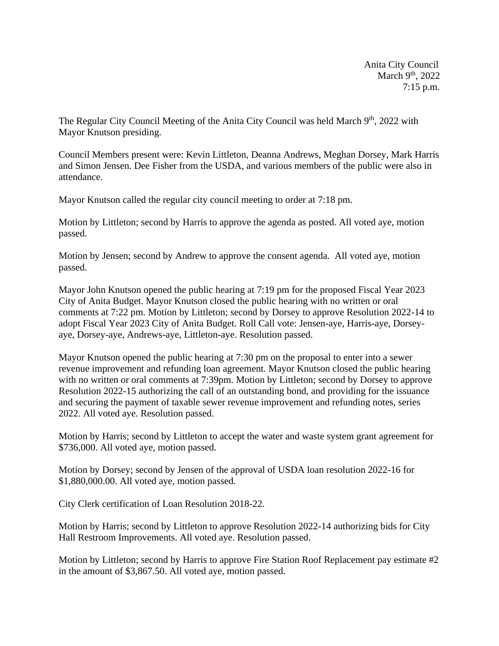Anita City Council March  $9<sup>th</sup>$ , 2022 7:15 p.m.

The Regular City Council Meeting of the Anita City Council was held March 9<sup>th</sup>, 2022 with Mayor Knutson presiding.

Council Members present were: Kevin Littleton, Deanna Andrews, Meghan Dorsey, Mark Harris and Simon Jensen. Dee Fisher from the USDA, and various members of the public were also in attendance.

Mayor Knutson called the regular city council meeting to order at 7:18 pm.

Motion by Littleton; second by Harris to approve the agenda as posted. All voted aye, motion passed.

Motion by Jensen; second by Andrew to approve the consent agenda. All voted aye, motion passed.

Mayor John Knutson opened the public hearing at 7:19 pm for the proposed Fiscal Year 2023 City of Anita Budget. Mayor Knutson closed the public hearing with no written or oral comments at 7:22 pm. Motion by Littleton; second by Dorsey to approve Resolution 2022-14 to adopt Fiscal Year 2023 City of Anita Budget. Roll Call vote: Jensen-aye, Harris-aye, Dorseyaye, Dorsey-aye, Andrews-aye, Littleton-aye. Resolution passed.

Mayor Knutson opened the public hearing at 7:30 pm on the proposal to enter into a sewer revenue improvement and refunding loan agreement. Mayor Knutson closed the public hearing with no written or oral comments at 7:39pm. Motion by Littleton; second by Dorsey to approve Resolution 2022-15 authorizing the call of an outstanding bond, and providing for the issuance and securing the payment of taxable sewer revenue improvement and refunding notes, series 2022. All voted aye. Resolution passed.

Motion by Harris; second by Littleton to accept the water and waste system grant agreement for \$736,000. All voted aye, motion passed.

Motion by Dorsey; second by Jensen of the approval of USDA loan resolution 2022-16 for \$1,880,000.00. All voted aye, motion passed.

City Clerk certification of Loan Resolution 2018-22.

Motion by Harris; second by Littleton to approve Resolution 2022-14 authorizing bids for City Hall Restroom Improvements. All voted aye. Resolution passed.

Motion by Littleton; second by Harris to approve Fire Station Roof Replacement pay estimate #2 in the amount of \$3,867.50. All voted aye, motion passed.